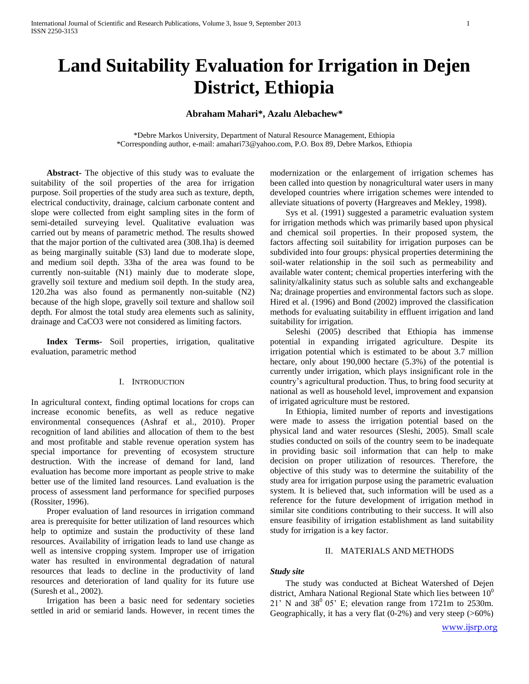# **Land Suitability Evaluation for Irrigation in Dejen District, Ethiopia**

# **Abraham Mahari\*, Azalu Alebachew\***

\*Debre Markos University, Department of Natural Resource Management, Ethiopia \*Corresponding author, e-mail[: amahari73@yahoo.com,](mailto:amahari73@yahoo.com) P.O. Box 89, Debre Markos, Ethiopia

**Abstract-** The objective of this study was to evaluate the suitability of the soil properties of the area for irrigation purpose. Soil properties of the study area such as texture, depth, electrical conductivity, drainage, calcium carbonate content and slope were collected from eight sampling sites in the form of semi-detailed surveying level. Qualitative evaluation was carried out by means of parametric method. The results showed that the major portion of the cultivated area (308.1ha) is deemed as being marginally suitable (S3) land due to moderate slope, and medium soil depth. 33ha of the area was found to be currently non-suitable (N1) mainly due to moderate slope, gravelly soil texture and medium soil depth. In the study area, 120.2ha was also found as permanently non-suitable (N2) because of the high slope, gravelly soil texture and shallow soil depth. For almost the total study area elements such as salinity, drainage and CaCO3 were not considered as limiting factors.

**Index Terms-** Soil properties, irrigation, qualitative evaluation, parametric method

## I. INTRODUCTION

In agricultural context, finding optimal locations for crops can increase economic benefits, as well as reduce negative environmental consequences (Ashraf et al., 2010). Proper recognition of land abilities and allocation of them to the best and most profitable and stable revenue operation system has special importance for preventing of ecosystem structure destruction. With the increase of demand for land, land evaluation has become more important as people strive to make better use of the limited land resources. Land evaluation is the process of assessment land performance for specified purposes (Rossiter, 1996).

Proper evaluation of land resources in irrigation command area is prerequisite for better utilization of land resources which help to optimize and sustain the productivity of these land resources. Availability of irrigation leads to land use change as well as intensive cropping system. Improper use of irrigation water has resulted in environmental degradation of natural resources that leads to decline in the productivity of land resources and deterioration of land quality for its future use (Suresh et al., 2002).

Irrigation has been a basic need for sedentary societies settled in arid or semiarid lands. However, in recent times the modernization or the enlargement of irrigation schemes has been called into question by nonagricultural water users in many developed countries where irrigation schemes were intended to alleviate situations of poverty (Hargreaves and Mekley, 1998).

Sys et al. (1991) suggested a parametric evaluation system for irrigation methods which was primarily based upon physical and chemical soil properties. In their proposed system, the factors affecting soil suitability for irrigation purposes can be subdivided into four groups: physical properties determining the soil-water relationship in the soil such as permeability and available water content; chemical properties interfering with the salinity/alkalinity status such as soluble salts and exchangeable Na; drainage properties and environmental factors such as slope. Hired et al. (1996) and Bond (2002) improved the classification methods for evaluating suitability in effluent irrigation and land suitability for irrigation.

Seleshi (2005) described that Ethiopia has immense potential in expanding irrigated agriculture. Despite its irrigation potential which is estimated to be about 3.7 million hectare, only about 190,000 hectare (5.3%) of the potential is currently under irrigation, which plays insignificant role in the country's agricultural production. Thus, to bring food security at national as well as household level, improvement and expansion of irrigated agriculture must be restored.

In Ethiopia, limited number of reports and investigations were made to assess the irrigation potential based on the physical land and water resources (Sleshi, 2005). Small scale studies conducted on soils of the country seem to be inadequate in providing basic soil information that can help to make decision on proper utilization of resources. Therefore, the objective of this study was to determine the suitability of the study area for irrigation purpose using the parametric evaluation system. It is believed that, such information will be used as a reference for the future development of irrigation method in similar site conditions contributing to their success. It will also ensure feasibility of irrigation establishment as land suitability study for irrigation is a key factor.

# II. MATERIALS AND METHODS

# *Study site*

The study was conducted at Bicheat Watershed of Dejen district, Amhara National Regional State which lies between  $10<sup>0</sup>$  $21'$  N and  $38^0$  05' E; elevation range from 1721m to 2530m. Geographically, it has a very flat (0-2%) and very steep (>60%)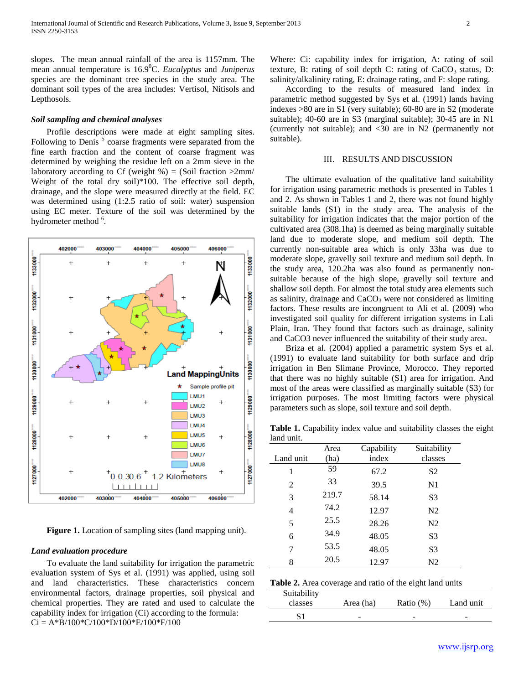slopes. The mean annual rainfall of the area is 1157mm. The mean annual temperature is 16.9<sup>0</sup>C. *Eucalyptus* and *Juniperus*  species are the dominant tree species in the study area. The dominant soil types of the area includes: Vertisol, Nitisols and Lepthosols.

## *Soil sampling and chemical analyses*

Profile descriptions were made at eight sampling sites. Following to Denis<sup>5</sup> coarse fragments were separated from the fine earth fraction and the content of coarse fragment was determined by weighing the residue left on a 2mm sieve in the laboratory according to Cf (weight  $\%$ ) = (Soil fraction >2mm/ Weight of the total dry soil)\*100. The effective soil depth, drainage, and the slope were measured directly at the field. EC was determined using (1:2.5 ratio of soil: water) suspension using EC meter. Texture of the soil was determined by the hydrometer method <sup>6</sup>.



**Figure 1.** Location of sampling sites (land mapping unit).

# *Land evaluation procedure*

To evaluate the land suitability for irrigation the parametric evaluation system of Sys et al. (1991) was applied, using soil and land characteristics. These characteristics concern environmental factors, drainage properties, soil physical and chemical properties. They are rated and used to calculate the capability index for irrigation (Ci) according to the formula:  $Ci = A*B/100*C/100*D/100*E/100*F/100$ 

Where: Ci: capability index for irrigation, A: rating of soil texture, B: rating of soil depth C: rating of  $CaCO<sub>3</sub>$  status, D: salinity/alkalinity rating, E: drainage rating, and F: slope rating.

According to the results of measured land index in parametric method suggested by Sys et al. (1991) lands having indexes >80 are in S1 (very suitable); 60-80 are in S2 (moderate suitable); 40-60 are in S3 (marginal suitable); 30-45 are in N1 (currently not suitable); and <30 are in N2 (permanently not suitable).

### III. RESULTS AND DISCUSSION

The ultimate evaluation of the qualitative land suitability for irrigation using parametric methods is presented in Tables 1 and 2. As shown in Tables 1 and 2, there was not found highly suitable lands (S1) in the study area. The analysis of the suitability for irrigation indicates that the major portion of the cultivated area (308.1ha) is deemed as being marginally suitable land due to moderate slope, and medium soil depth. The currently non-suitable area which is only 33ha was due to moderate slope, gravelly soil texture and medium soil depth. In the study area, 120.2ha was also found as permanently nonsuitable because of the high slope, gravelly soil texture and shallow soil depth. For almost the total study area elements such as salinity, drainage and  $CaCO<sub>3</sub>$  were not considered as limiting factors. These results are incongruent to Ali et al. (2009) who investigated soil quality for different irrigation systems in Lali Plain, Iran. They found that factors such as drainage, salinity and CaCO3 never influenced the suitability of their study area.

Briza et al. (2004) applied a parametric system Sys et al. (1991) to evaluate land suitability for both surface and drip irrigation in Ben Slimane Province, Morocco. They reported that there was no highly suitable (S1) area for irrigation. And most of the areas were classified as marginally suitable (S3) for irrigation purposes. The most limiting factors were physical parameters such as slope, soil texture and soil depth.

**Table 1.** Capability index value and suitability classes the eight land unit.

|                | Area  | Capability | Suitability    |
|----------------|-------|------------|----------------|
| Land unit      | (ha)  | index      | classes        |
| 1              | 59    | 67.2       | S2             |
| 2              | 33    | 39.5       | N <sub>1</sub> |
| 3              | 219.7 | 58.14      | S <sub>3</sub> |
| $\overline{4}$ | 74.2  | 12.97      | N <sub>2</sub> |
| 5              | 25.5  | 28.26      | N <sub>2</sub> |
| 6              | 34.9  | 48.05      | S <sub>3</sub> |
| 7              | 53.5  | 48.05      | S3             |
| 8              | 20.5  | 12.97      | N2             |

| Table 2. Area coverage and ratio of the eight land units |  |
|----------------------------------------------------------|--|
|----------------------------------------------------------|--|

| Suitability<br>classes | Area (ha) | Ratio $(\%)$ | Land unit |
|------------------------|-----------|--------------|-----------|
|                        | -         | -            | -         |